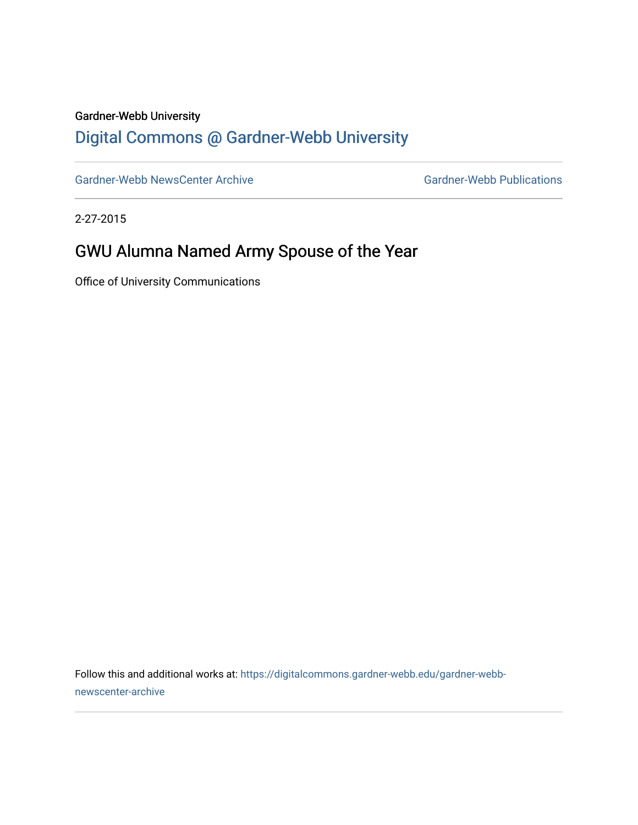#### Gardner-Webb University

## [Digital Commons @ Gardner-Webb University](https://digitalcommons.gardner-webb.edu/)

[Gardner-Webb NewsCenter Archive](https://digitalcommons.gardner-webb.edu/gardner-webb-newscenter-archive) Gardner-Webb Publications

2-27-2015

## GWU Alumna Named Army Spouse of the Year

Office of University Communications

Follow this and additional works at: [https://digitalcommons.gardner-webb.edu/gardner-webb](https://digitalcommons.gardner-webb.edu/gardner-webb-newscenter-archive?utm_source=digitalcommons.gardner-webb.edu%2Fgardner-webb-newscenter-archive%2F1243&utm_medium=PDF&utm_campaign=PDFCoverPages)[newscenter-archive](https://digitalcommons.gardner-webb.edu/gardner-webb-newscenter-archive?utm_source=digitalcommons.gardner-webb.edu%2Fgardner-webb-newscenter-archive%2F1243&utm_medium=PDF&utm_campaign=PDFCoverPages)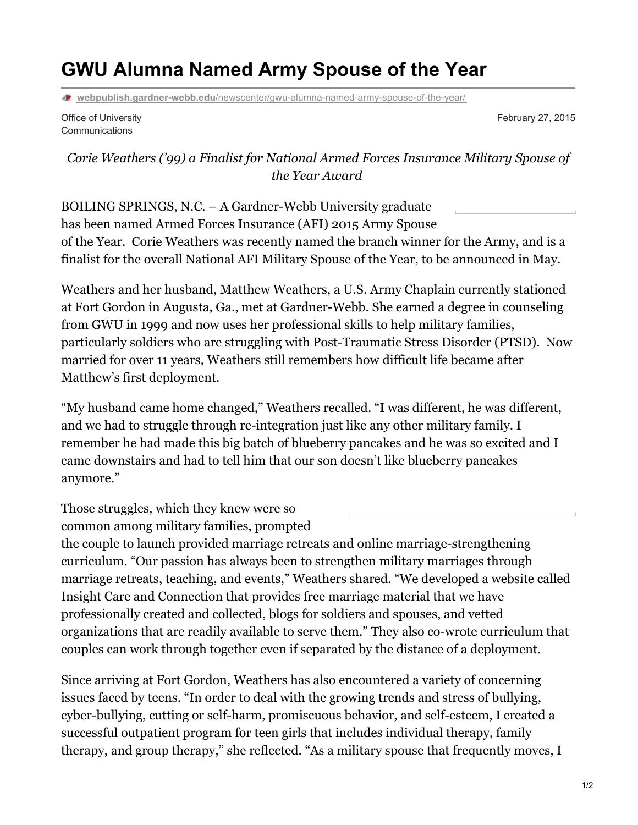# **GWU Alumna Named Army Spouse of the Year**

**webpublish.gardner-webb.edu**[/newscenter/gwu-alumna-named-army-spouse-of-the-year/](https://webpublish.gardner-webb.edu/newscenter/gwu-alumna-named-army-spouse-of-the-year/)

Office of University Communications

February 27, 2015

#### *Corie Weathers ('99) a Finalist for National Armed Forces Insurance Military Spouse of the Year Award*

BOILING SPRINGS, N.C. – A Gardner-Webb University graduate has been named Armed Forces Insurance (AFI) 2015 Army Spouse of the Year. Corie Weathers was recently named the branch winner for the Army, and is a finalist for the overall National AFI Military Spouse of the Year, to be announced in May.

Weathers and her husband, Matthew Weathers, a U.S. Army Chaplain currently stationed at Fort Gordon in Augusta, Ga., met at Gardner-Webb. She earned a degree in counseling from GWU in 1999 and now uses her professional skills to help military families, particularly soldiers who are struggling with Post-Traumatic Stress Disorder (PTSD). Now married for over 11 years, Weathers still remembers how difficult life became after Matthew's first deployment.

"My husband came home changed," Weathers recalled. "I was different, he was different, and we had to struggle through re-integration just like any other military family. I remember he had made this big batch of blueberry pancakes and he was so excited and I came downstairs and had to tell him that our son doesn't like blueberry pancakes anymore."

Those struggles, which they knew were so common among military families, prompted the couple to launch provided marriage retreats and online marriage-strengthening curriculum. "Our passion has always been to strengthen military marriages through marriage retreats, teaching, and events," Weathers shared. "We developed a website called Insight Care and Connection that provides free marriage material that we have professionally created and collected, blogs for soldiers and spouses, and vetted organizations that are readily available to serve them." They also co-wrote curriculum that

couples can work through together even if separated by the distance of a deployment.

Since arriving at Fort Gordon, Weathers has also encountered a variety of concerning issues faced by teens. "In order to deal with the growing trends and stress of bullying, cyber-bullying, cutting or self-harm, promiscuous behavior, and self-esteem, I created a successful outpatient program for teen girls that includes individual therapy, family therapy, and group therapy," she reflected. "As a military spouse that frequently moves, I